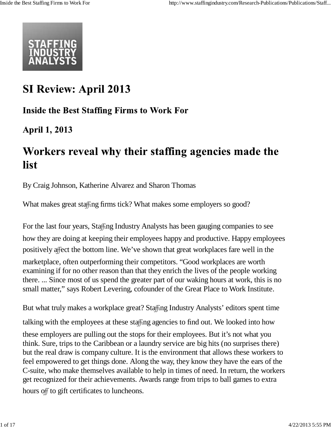

## **SI Review: April 2013**

### **Inside the Best Staffing Firms to Work For**

**April 1, 2013** 

## Workers reveal why their staffing agencies made the list

By Craig Johnson, Katherine Alvarez and Sharon Thomas

What makes great staffing firms tick? What makes some employers so good?

For the last four years, Staffing Industry Analysts has been gauging companies to see how they are doing at keeping their employees happy and productive. Happy employees positively affect the bottom line. We've shown that great workplaces fare well in the marketplace, often outperforming their competitors. "Good workplaces are worth examining if for no other reason than that they enrich the lives of the people working there. ... Since most of us spend the greater part of our waking hours at work, this is no small matter," says Robert Levering, cofounder of the Great Place to Work Institute.

But what truly makes a workplace great? Staffing Industry Analysts' editors spent time

talking with the employees at these staffing agencies to find out. We looked into how these employers are pulling out the stops for their employees. But it's not what you think. Sure, trips to the Caribbean or a laundry service are big hits (no surprises there) but the real draw is company culture. It is the environment that allows these workers to feel empowered to get things done. Along the way, they know they have the ears of the C-suite, who make themselves available to help in times of need. In return, the workers get recognized for their achievements. Awards range from trips to ball games to extra hours off to gift certificates to luncheons.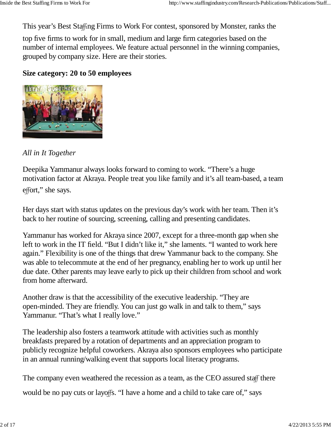This year's Best Staffing Firms to Work For contest, sponsored by Monster, ranks the

top five firms to work for in small, medium and large firm categories based on the number of internal employees. We feature actual personnel in the winning companies, grouped by company size. Here are their stories.

#### **Size category: 20 to 50 employees**



#### *All in It Together*

Deepika Yammanur always looks forward to coming to work. "There's a huge motivation factor at Akraya. People treat you like family and it's all team-based, a team effort," she says.

Her days start with status updates on the previous day's work with her team. Then it's back to her routine of sourcing, screening, calling and presenting candidates.

Yammanur has worked for Akraya since 2007, except for a three-month gap when she left to work in the IT field. "But I didn't like it," she laments. "I wanted to work here again." Flexibility is one of the things that drew Yammanur back to the company. She was able to telecommute at the end of her pregnancy, enabling her to work up until her due date. Other parents may leave early to pick up their children from school and work from home afterward.

Another draw is that the accessibility of the executive leadership. "They are open-minded. They are friendly. You can just go walk in and talk to them," says Yammanur. "That's what I really love."

The leadership also fosters a teamwork attitude with activities such as monthly breakfasts prepared by a rotation of departments and an appreciation program to publicly recognize helpful coworkers. Akraya also sponsors employees who participate in an annual running/walking event that supports local literacy programs.

The company even weathered the recession as a team, as the CEO assured staff there

would be no pay cuts or layoffs. "I have a home and a child to take care of," says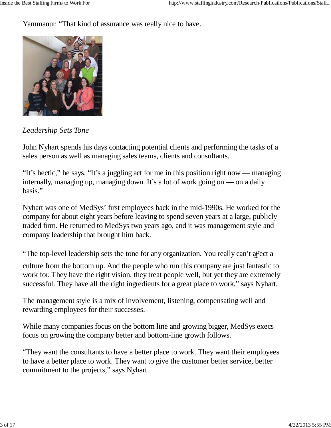Yammanur. "That kind of assurance was really nice to have.



*Leadership Sets Tone*

John Nyhart spends his days contacting potential clients and performing the tasks of a sales person as well as managing sales teams, clients and consultants.

"It's hectic," he says. "It's a juggling act for me in this position right now — managing internally, managing up, managing down. It's a lot of work going on — on a daily basis."

Nyhart was one of MedSys' first employees back in the mid-1990s. He worked for the company for about eight years before leaving to spend seven years at a large, publicly traded firm. He returned to MedSys two years ago, and it was management style and company leadership that brought him back.

"The top-level leadership sets the tone for any organization. You really can't affect a

culture from the bottom up. And the people who run this company are just fantastic to work for. They have the right vision, they treat people well, but yet they are extremely successful. They have all the right ingredients for a great place to work," says Nyhart.

The management style is a mix of involvement, listening, compensating well and rewarding employees for their successes.

While many companies focus on the bottom line and growing bigger, MedSys execs focus on growing the company better and bottom-line growth follows.

"They want the consultants to have a better place to work. They want their employees to have a better place to work. They want to give the customer better service, better commitment to the projects," says Nyhart.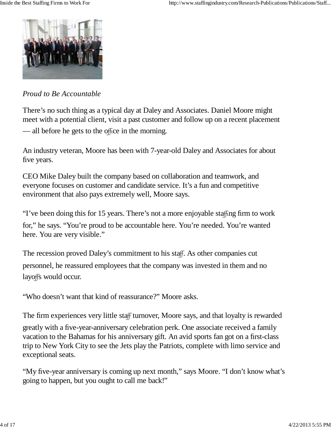

#### *Proud to Be Accountable*

There's no such thing as a typical day at Daley and Associates. Daniel Moore might meet with a potential client, visit a past customer and follow up on a recent placement — all before he gets to the office in the morning.

An industry veteran, Moore has been with 7-year-old Daley and Associates for about five years.

CEO Mike Daley built the company based on collaboration and teamwork, and everyone focuses on customer and candidate service. It's a fun and competitive environment that also pays extremely well, Moore says.

"I've been doing this for 15 years. There's not a more enjoyable staffing firm to work

for," he says. "You're proud to be accountable here. You're needed. You're wanted here. You are very visible."

The recession proved Daley's commitment to his staff. As other companies cut personnel, he reassured employees that the company was invested in them and no layoffs would occur.

"Who doesn't want that kind of reassurance?" Moore asks.

The firm experiences very little staff turnover, Moore says, and that loyalty is rewarded greatly with a five-year-anniversary celebration perk. One associate received a family vacation to the Bahamas for his anniversary gift. An avid sports fan got on a first-class trip to New York City to see the Jets play the Patriots, complete with limo service and exceptional seats.

"My five-year anniversary is coming up next month," says Moore. "I don't know what's going to happen, but you ought to call me back!"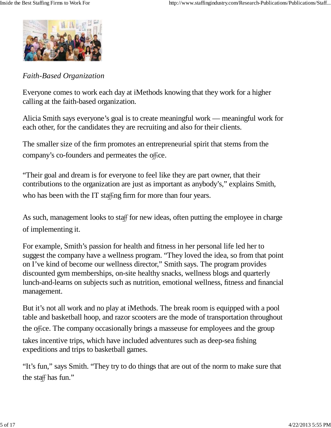

*Faith-Based Organization*

Everyone comes to work each day at iMethods knowing that they work for a higher calling at the faith-based organization.

Alicia Smith says everyone's goal is to create meaningful work — meaningful work for each other, for the candidates they are recruiting and also for their clients.

The smaller size of the firm promotes an entrepreneurial spirit that stems from the company's co-founders and permeates the office.

"Their goal and dream is for everyone to feel like they are part owner, that their contributions to the organization are just as important as anybody's," explains Smith, who has been with the IT staffing firm for more than four years.

As such, management looks to staff for new ideas, often putting the employee in charge of implementing it.

For example, Smith's passion for health and fitness in her personal life led her to suggest the company have a wellness program. "They loved the idea, so from that point on I've kind of become our wellness director," Smith says. The program provides discounted gym memberships, on-site healthy snacks, wellness blogs and quarterly lunch-and-learns on subjects such as nutrition, emotional wellness, fitness and financial management.

But it's not all work and no play at iMethods. The break room is equipped with a pool table and basketball hoop, and razor scooters are the mode of transportation throughout the office. The company occasionally brings a masseuse for employees and the group takes incentive trips, which have included adventures such as deep-sea fishing expeditions and trips to basketball games.

"It's fun," says Smith. "They try to do things that are out of the norm to make sure that the staff has fun."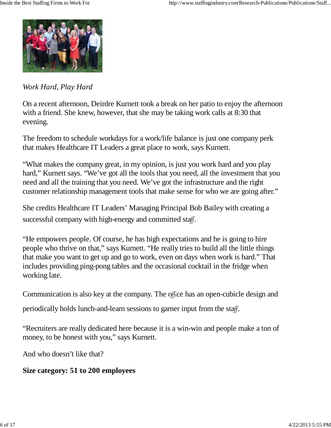

*Work Hard, Play Hard*

On a recent afternoon, Deirdre Kurnett took a break on her patio to enjoy the afternoon with a friend. She knew, however, that she may be taking work calls at 8:30 that evening.

The freedom to schedule workdays for a work/life balance is just one company perk that makes Healthcare IT Leaders a great place to work, says Kurnett.

"What makes the company great, in my opinion, is just you work hard and you play hard," Kurnett says. "We've got all the tools that you need, all the investment that you need and all the training that you need. We've got the infrastructure and the right customer relationship management tools that make sense for who we are going after."

She credits Healthcare IT Leaders' Managing Principal Bob Bailey with creating a successful company with high-energy and committed staff.

"He empowers people. Of course, he has high expectations and he is going to hire people who thrive on that," says Kurnett. "He really tries to build all the little things that make you want to get up and go to work, even on days when work is hard." That includes providing ping-pong tables and the occasional cocktail in the fridge when working late.

Communication is also key at the company. The office has an open-cubicle design and

periodically holds lunch-and-learn sessions to garner input from the staff.

"Recruiters are really dedicated here because it is a win-win and people make a ton of money, to be honest with you," says Kurnett.

And who doesn't like that?

**Size category: 51 to 200 employees**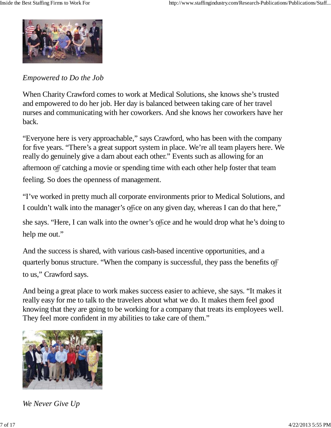

*Empowered to Do the Job*

When Charity Crawford comes to work at Medical Solutions, she knows she's trusted and empowered to do her job. Her day is balanced between taking care of her travel nurses and communicating with her coworkers. And she knows her coworkers have her back.

"Everyone here is very approachable," says Crawford, who has been with the company for five years. "There's a great support system in place. We're all team players here. We really do genuinely give a darn about each other." Events such as allowing for an afternoon off catching a movie or spending time with each other help foster that team feeling. So does the openness of management.

"I've worked in pretty much all corporate environments prior to Medical Solutions, and I couldn't walk into the manager's office on any given day, whereas I can do that here,"

she says. "Here, I can walk into the owner's office and he would drop what he's doing to help me out."

And the success is shared, with various cash-based incentive opportunities, and a quarterly bonus structure. "When the company is successful, they pass the benefits off to us," Crawford says.

And being a great place to work makes success easier to achieve, she says. "It makes it really easy for me to talk to the travelers about what we do. It makes them feel good knowing that they are going to be working for a company that treats its employees well. They feel more confident in my abilities to take care of them."



*We Never Give Up*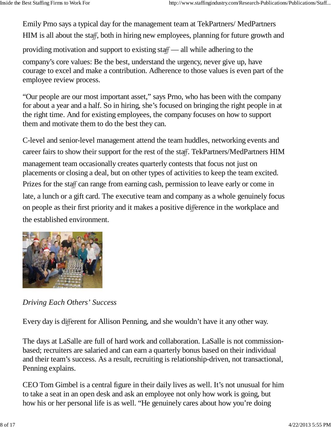Emily Prno says a typical day for the management team at TekPartners/ MedPartners HIM is all about the staff, both in hiring new employees, planning for future growth and

providing motivation and support to existing staff — all while adhering to the

company's core values: Be the best, understand the urgency, never give up, have courage to excel and make a contribution. Adherence to those values is even part of the employee review process.

"Our people are our most important asset," says Prno, who has been with the company for about a year and a half. So in hiring, she's focused on bringing the right people in at the right time. And for existing employees, the company focuses on how to support them and motivate them to do the best they can.

C-level and senior-level management attend the team huddles, networking events and career fairs to show their support for the rest of the staff. TekPartners/MedPartners HIM management team occasionally creates quarterly contests that focus not just on placements or closing a deal, but on other types of activities to keep the team excited. Prizes for the staff can range from earning cash, permission to leave early or come in late, a lunch or a gift card. The executive team and company as a whole genuinely focus on people as their first priority and it makes a positive difference in the workplace and the established environment.



*Driving Each Others' Success*

Every day is different for Allison Penning, and she wouldn't have it any other way.

The days at LaSalle are full of hard work and collaboration. LaSalle is not commissionbased; recruiters are salaried and can earn a quarterly bonus based on their individual and their team's success. As a result, recruiting is relationship-driven, not transactional, Penning explains.

CEO Tom Gimbel is a central figure in their daily lives as well. It's not unusual for him to take a seat in an open desk and ask an employee not only how work is going, but how his or her personal life is as well. "He genuinely cares about how you're doing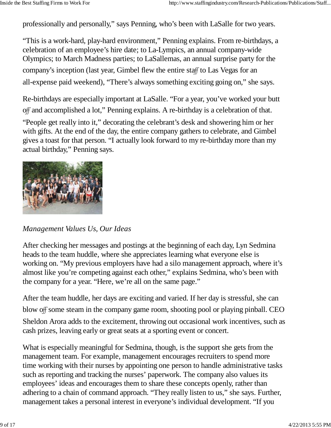professionally and personally," says Penning, who's been with LaSalle for two years.

"This is a work-hard, play-hard environment," Penning explains. From re-birthdays, a celebration of an employee's hire date; to La-Lympics, an annual company-wide Olympics; to March Madness parties; to LaSallemas, an annual surprise party for the company's inception (last year, Gimbel flew the entire staff to Las Vegas for an all-expense paid weekend), "There's always something exciting going on," she says.

Re-birthdays are especially important at LaSalle. "For a year, you've worked your butt off and accomplished a lot," Penning explains. A re-birthday is a celebration of that.

"People get really into it," decorating the celebrant's desk and showering him or her with gifts. At the end of the day, the entire company gathers to celebrate, and Gimbel gives a toast for that person. "I actually look forward to my re-birthday more than my actual birthday," Penning says.



#### *Management Values Us, Our Ideas*

After checking her messages and postings at the beginning of each day, Lyn Sedmina heads to the team huddle, where she appreciates learning what everyone else is working on. "My previous employers have had a silo management approach, where it's almost like you're competing against each other," explains Sedmina, who's been with the company for a year. "Here, we're all on the same page."

After the team huddle, her days are exciting and varied. If her day is stressful, she can blow off some steam in the company game room, shooting pool or playing pinball. CEO Sheldon Arora adds to the excitement, throwing out occasional work incentives, such as cash prizes, leaving early or great seats at a sporting event or concert.

What is especially meaningful for Sedmina, though, is the support she gets from the management team. For example, management encourages recruiters to spend more time working with their nurses by appointing one person to handle administrative tasks such as reporting and tracking the nurses' paperwork. The company also values its employees' ideas and encourages them to share these concepts openly, rather than adhering to a chain of command approach. "They really listen to us," she says. Further, management takes a personal interest in everyone's individual development. "If you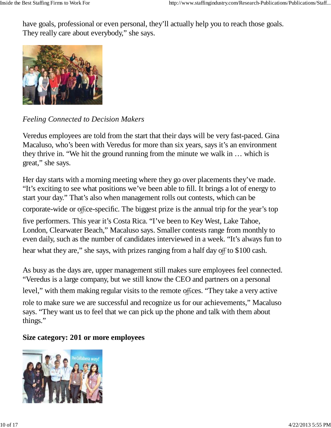have goals, professional or even personal, they'll actually help you to reach those goals. They really care about everybody," she says.



*Feeling Connected to Decision Makers*

Veredus employees are told from the start that their days will be very fast-paced. Gina Macaluso, who's been with Veredus for more than six years, says it's an environment they thrive in. "We hit the ground running from the minute we walk in … which is great," she says.

Her day starts with a morning meeting where they go over placements they've made. "It's exciting to see what positions we've been able to fill. It brings a lot of energy to start your day." That's also when management rolls out contests, which can be corporate-wide or office-specific. The biggest prize is the annual trip for the year's top five performers. This year it's Costa Rica. "I've been to Key West, Lake Tahoe, London, Clearwater Beach," Macaluso says. Smaller contests range from monthly to even daily, such as the number of candidates interviewed in a week. "It's always fun to hear what they are," she says, with prizes ranging from a half day off to \$100 cash.

As busy as the days are, upper management still makes sure employees feel connected. "Veredus is a large company, but we still know the CEO and partners on a personal level," with them making regular visits to the remote offices. "They take a very active

role to make sure we are successful and recognize us for our achievements," Macaluso says. "They want us to feel that we can pick up the phone and talk with them about things."

#### **Size category: 201 or more employees**

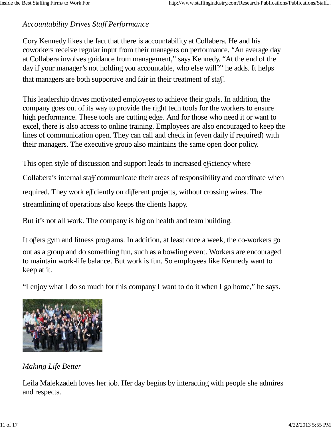#### *Accountability Drives Staff Performance*

Cory Kennedy likes the fact that there is accountability at Collabera. He and his coworkers receive regular input from their managers on performance. "An average day at Collabera involves guidance from management," says Kennedy. "At the end of the day if your manager's not holding you accountable, who else will?" he adds. It helps that managers are both supportive and fair in their treatment of staff.

This leadership drives motivated employees to achieve their goals. In addition, the company goes out of its way to provide the right tech tools for the workers to ensure high performance. These tools are cutting edge. And for those who need it or want to excel, there is also access to online training. Employees are also encouraged to keep the lines of communication open. They can call and check in (even daily if required) with their managers. The executive group also maintains the same open door policy.

This open style of discussion and support leads to increased efficiency where

Collabera's internal staff communicate their areas of responsibility and coordinate when

required. They work efficiently on different projects, without crossing wires. The streamlining of operations also keeps the clients happy.

But it's not all work. The company is big on health and team building.

It offers gym and fitness programs. In addition, at least once a week, the co-workers go out as a group and do something fun, such as a bowling event. Workers are encouraged to maintain work-life balance. But work is fun. So employees like Kennedy want to keep at it.

"I enjoy what I do so much for this company I want to do it when I go home," he says.



*Making Life Better*

Leila Malekzadeh loves her job. Her day begins by interacting with people she admires and respects.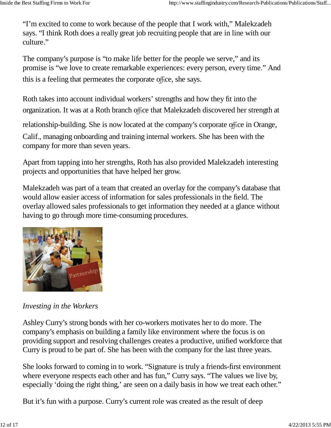"I'm excited to come to work because of the people that I work with," Malekzadeh says. "I think Roth does a really great job recruiting people that are in line with our culture."

The company's purpose is "to make life better for the people we serve," and its promise is "we love to create remarkable experiences: every person, every time." And this is a feeling that permeates the corporate office, she says.

Roth takes into account individual workers' strengths and how they fit into the organization. It was at a Roth branch office that Malekzadeh discovered her strength at

relationship-building. She is now located at the company's corporate office in Orange,

Calif., managing onboarding and training internal workers. She has been with the company for more than seven years.

Apart from tapping into her strengths, Roth has also provided Malekzadeh interesting projects and opportunities that have helped her grow.

Malekzadeh was part of a team that created an overlay for the company's database that would allow easier access of information for sales professionals in the field. The overlay allowed sales professionals to get information they needed at a glance without having to go through more time-consuming procedures.



#### *Investing in the Workers*

Ashley Curry's strong bonds with her co-workers motivates her to do more. The company's emphasis on building a family like environment where the focus is on providing support and resolving challenges creates a productive, unified workforce that Curry is proud to be part of. She has been with the company for the last three years.

She looks forward to coming in to work. "Signature is truly a friends-first environment where everyone respects each other and has fun," Curry says. "The values we live by, especially 'doing the right thing,' are seen on a daily basis in how we treat each other."

But it's fun with a purpose. Curry's current role was created as the result of deep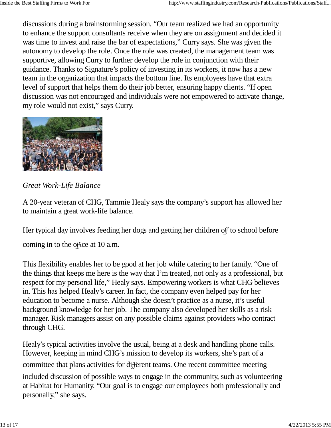discussions during a brainstorming session. "Our team realized we had an opportunity to enhance the support consultants receive when they are on assignment and decided it was time to invest and raise the bar of expectations," Curry says. She was given the autonomy to develop the role. Once the role was created, the management team was supportive, allowing Curry to further develop the role in conjunction with their guidance. Thanks to Signature's policy of investing in its workers, it now has a new team in the organization that impacts the bottom line. Its employees have that extra level of support that helps them do their job better, ensuring happy clients. "If open discussion was not encouraged and individuals were not empowered to activate change, my role would not exist," says Curry.



*Great Work-Life Balance*

A 20-year veteran of CHG, Tammie Healy says the company's support has allowed her to maintain a great work-life balance.

Her typical day involves feeding her dogs and getting her children off to school before coming in to the office at 10 a.m.

This flexibility enables her to be good at her job while catering to her family. "One of the things that keeps me here is the way that I'm treated, not only as a professional, but respect for my personal life," Healy says. Empowering workers is what CHG believes in. This has helped Healy's career. In fact, the company even helped pay for her education to become a nurse. Although she doesn't practice as a nurse, it's useful background knowledge for her job. The company also developed her skills as a risk manager. Risk managers assist on any possible claims against providers who contract through CHG.

Healy's typical activities involve the usual, being at a desk and handling phone calls. However, keeping in mind CHG's mission to develop its workers, she's part of a committee that plans activities for different teams. One recent committee meeting included discussion of possible ways to engage in the community, such as volunteering at Habitat for Humanity. "Our goal is to engage our employees both professionally and personally," she says.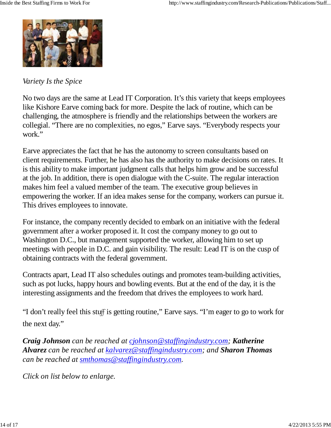

#### *Variety Is the Spice*

No two days are the same at Lead IT Corporation. It's this variety that keeps employees like Kishore Earve coming back for more. Despite the lack of routine, which can be challenging, the atmosphere is friendly and the relationships between the workers are collegial. "There are no complexities, no egos," Earve says. "Everybody respects your work."

Earve appreciates the fact that he has the autonomy to screen consultants based on client requirements. Further, he has also has the authority to make decisions on rates. It is this ability to make important judgment calls that helps him grow and be successful at the job. In addition, there is open dialogue with the C-suite. The regular interaction makes him feel a valued member of the team. The executive group believes in empowering the worker. If an idea makes sense for the company, workers can pursue it. This drives employees to innovate.

For instance, the company recently decided to embark on an initiative with the federal government after a worker proposed it. It cost the company money to go out to Washington D.C., but management supported the worker, allowing him to set up meetings with people in D.C. and gain visibility. The result: Lead IT is on the cusp of obtaining contracts with the federal government.

Contracts apart, Lead IT also schedules outings and promotes team-building activities, such as pot lucks, happy hours and bowling events. But at the end of the day, it is the interesting assignments and the freedom that drives the employees to work hard.

"I don't really feel this stuff is getting routine," Earve says. "I'm eager to go to work for the next day."

*Craig Johnson can be reached at cjohnson@staffingindustry.com; Katherine Alvarez* can be reached at kalvarez@staffingindustry.com; and **Sharon Thomas** *can be reached at . smthomas@staffingindustry.com*

*Click on list below to enlarge.*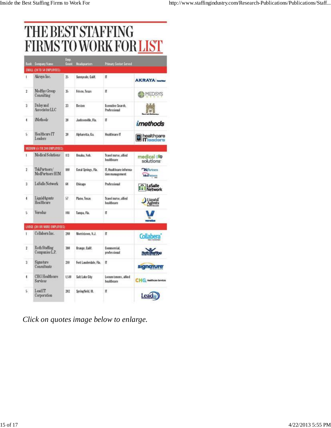# THE BEST STAFFING<br>FIRMS TO WORK FOR LIST

|                      | <b>Bank</b> Company Name               | Emp.<br>Count | <b>Headquarters</b>   | <b>Primary Sector Served</b>               |                                             |
|----------------------|----------------------------------------|---------------|-----------------------|--------------------------------------------|---------------------------------------------|
|                      | SMALL (2010 SO EMPLOYEES)              |               |                       |                                            |                                             |
| L                    | Akraya Inc.                            | 25.           | Sunnyvale, Calif.     | π                                          | <b>AKRAYA</b>                               |
| $\mathbf{r}$         | MedSys Group<br>Consulting             | 25            | Frison, Texas         | П.                                         | MEDSYS                                      |
| ä.                   | Daley and<br>Associates LLC            | n.            | Bosban                | Executive Search.<br>Professional          |                                             |
| 4                    | <i>iMethods</i>                        | m             | Jacksonville, Fla.    | π                                          | imethods                                    |
| 5.                   | Healthcare IT<br>Leaders               | 20            | Alpharetta, Ga.       | Healthcare IT                              | <b>Realthcare</b>                           |
|                      | MEDIUM (51TO 200 EMPLOYEES)            |               |                       |                                            |                                             |
| ŧ                    | Medical Solutions                      | II3           | Omaha, Neb.           | Travel nurse, alied<br>healthcare          | medical ®<br>solutions:                     |
| $\tilde{z}$          | TekPartners/<br>MedPartners HIM        | 999           | Coral Springs, Fla.   | IT, Healthcare informa-<br>tion management | Pichatrana<br>Mediterren                    |
| Ĵ.                   | LaSalle Network                        | 64            | Chicago               | Professional                               | <b>: LaSalle</b><br><b>Example:</b> Network |
| $\ddot{\phantom{0}}$ | LiquidAgents<br><b>Healthcare</b>      | 57            | Plano, Texas          | Travel nurse, allied<br>healthcare         | Liquid <sup>*</sup><br>Agents               |
| 5.                   | Veredus.                               | Hä            | Tampa, Fla.           | Π                                          |                                             |
|                      | LARGE (2010R MORE EMPLOYEES)           |               |                       |                                            |                                             |
| ī.                   | Collabera Inc.                         | 248           | Morristown, N.J.      | π                                          | Collabera                                   |
| ž.                   | <b>Roth Staffing</b><br>Companies L.P. | 380           | Orange, Calif.        | Commercial.<br>professional                |                                             |
| $\overline{3}$       | Signature<br>Consultants               | 210           | Fort Lauderdale, Fla. | П                                          | signature                                   |
| 4.                   | CHG Healthcare<br><b>Services</b>      | 1510          | Salt Lake City        | Locum tenens, allied<br>hisiltheare        | CHG Healthcare Services                     |
| S.                   | LeadIT<br>Corporation                  | 202           | Springfield, III.     | π                                          | Lead                                        |

*Click on quotes image below to enlarge.*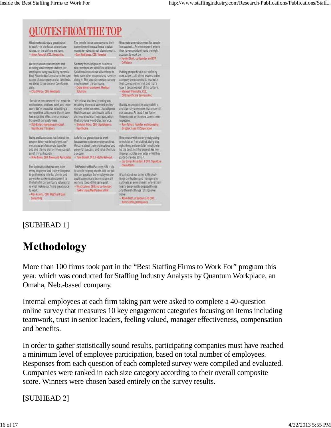## **OUOTES FROM THE TOP**

What makes Akraya a great place to work-is the focus on our core values, on the culture we have: - Amar Panchal, CEO, Akraya Inc.

We care about relationships and creating environments where our employees can growl Being named a Best Place to Work speaks to the core belg each other succeed and have fun core value.... All of the leaders in the values of a company, and at Methods, doing it! This award represents every company are expected to lead with we strive to live out our Core Values single person the company. daily.

- Chad Perce, CEO, Miethods

Durs is an environment that rewards We believe that by attracting and enthusiasm, and hard work and team- retaining the most talented profeswork. We're proactive in building a signals in the business. LiquidAgents and diversity are values that underpin<br>very positive culture and that in turn, Healthcare can continually build a our success. At Lead II we foster very positive culture and that in turn, ... Healthcare can continuely build a<br>has a positive effect on our interac- distinguished staffing organization<br>tions with our customers. ... that provides world-class service. - Pob Balley, managing principal.

Healthcare IT Leaders Nealthcare

Daley and Associates is all about the LaSalle is a great place to work motivated professionals together. great things happen.

The dedication that we see from every employee and their willingness to go the extra mile for clients and co-workers plike is a testament to the belief in our company values and working toward the same goal. is what makes our firm a great place - - Vite Scutern. CED and co-founder. to work.

Alan Kravitz, CEO, MedSys Group Consulting

-Dan Rodriguez, CEO, Veredus So many friendships and business relationships are solidified at Medical Solutions because we all are here to

- Craig Maler, president, Medical

The people in our company and their

commitment to excellence is what

Solutions - Sheldon Arbra, CEO, LiquidAgents

people. When you bring bright, self- because we put our employees first. principles of friends first, doing the We care about their professional and right thing and our determination to and give them a platform to succeed. personal success, and value them as be the best, not the biggest. We live a people. - Mike Daley, CEO, Daley and Associates - Tom Gimbel, CEO, LaSalle Network guide our every action.

> TekPartners/MedPartners HIM truly is people helping people, it is our job. it is our passion. Our employees are quality people and team players all TekPartners/MedPartners HIM

We create an environment for people to succeed ... An environment where makes Veredus a great place to work. they have opportunity and the right account to work on.

Hemin Shah, co-founder and EVP. Collabera

Putting people first is our defining that core value in mind, and that's how it becomes part of the culture. Michael Weinholtz, CEO CHS Healthcare Services Inc.

Duality, responsibility, adaptability these values with a core commitment. to people. - Ram Talluri, founder and managing

director. Lead IT Corporation

We operate with our original guiding these principles every day while they

- Jay Cohen President & CEO, Signature Consultants

It's all about our culture. We challenge our leaders and managers to cultivate an environment where their teams are proud to do good things and the right things for those we serve.

Adam Roth, president and COO. **Roth Staffing Companies** 

## [SUBHEAD 1]

# **Methodology**

More than 100 firms took part in the "Best Staffing Firms to Work For" program this year, which was conducted for Staffing Industry Analysts by Quantum Workplace, an Omaha, Neb.-based company.

Internal employees at each firm taking part were asked to complete a 40-question online survey that measures 10 key engagement categories focusing on items including teamwork, trust in senior leaders, feeling valued, manager effectiveness, compensation and benefits.

In order to gather statistically sound results, participating companies must have reached a minimum level of employee participation, based on total number of employees. Responses from each question of each completed survey were compiled and evaluated. Companies were ranked in each size category according to their overall composite score. Winners were chosen based entirely on the survey results.

[SUBHEAD 2]